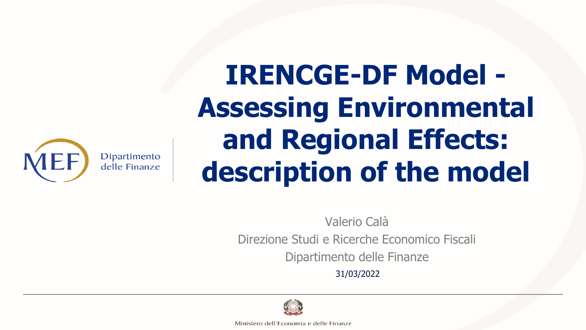

# **IRENCGE-DF Model - Assessing Environmental and Regional Effects: description of the model**

Valerio Calà Direzione Studi e Ricerche Economico Fiscali Dipartimento delle Finanze 31/03/2022



Ministero dell'Economia e delle Finanze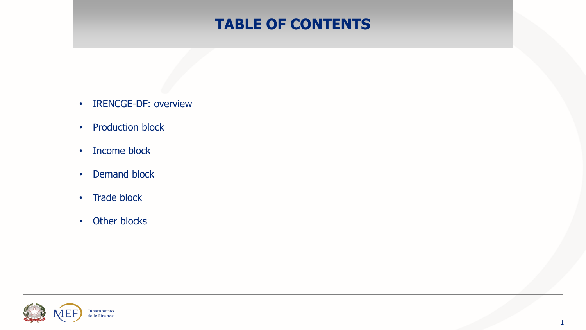# **TABLE OF CONTENTS**

- IRENCGE-DF: overview
- Production block
- Income block
- Demand block
- Trade block
- Other blocks

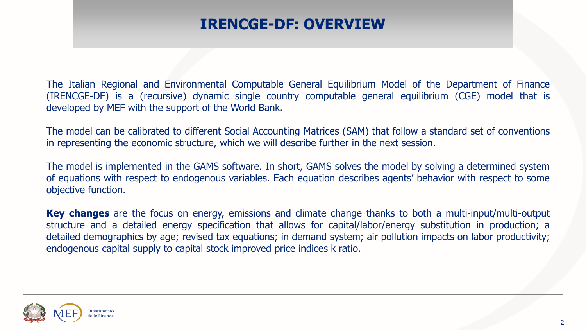## **IRENCGE-DF: OVERVIEW**

The Italian Regional and Environmental Computable General Equilibrium Model of the Department of Finance (IRENCGE-DF) is a (recursive) dynamic single country computable general equilibrium (CGE) model that is developed by MEF with the support of the World Bank.

The model can be calibrated to different Social Accounting Matrices (SAM) that follow a standard set of conventions in representing the economic structure, which we will describe further in the next session.

The model is implemented in the GAMS software. In short, GAMS solves the model by solving a determined system of equations with respect to endogenous variables. Each equation describes agents' behavior with respect to some objective function.

**Key changes** are the focus on energy, emissions and climate change thanks to both a multi-input/multi-output structure and a detailed energy specification that allows for capital/labor/energy substitution in production; a detailed demographics by age; revised tax equations; in demand system; air pollution impacts on labor productivity; endogenous capital supply to capital stock improved price indices k ratio.

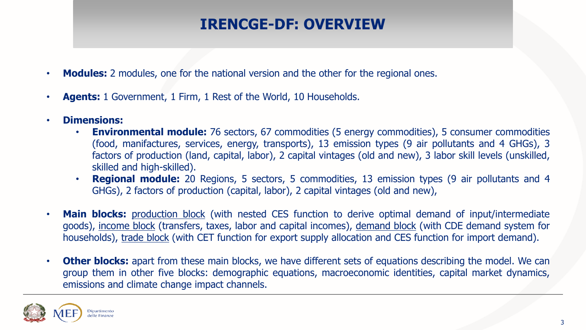# **IRENCGE-DF: OVERVIEW**

- **Modules:** 2 modules, one for the national version and the other for the regional ones.
- **Agents:** 1 Government, 1 Firm, 1 Rest of the World, 10 Households.
- **Dimensions:**
	- **Environmental module:** 76 sectors, 67 commodities (5 energy commodities), 5 consumer commodities (food, manifactures, services, energy, transports), 13 emission types (9 air pollutants and 4 GHGs), 3 factors of production (land, capital, labor), 2 capital vintages (old and new), 3 labor skill levels (unskilled, skilled and high-skilled).
	- **Regional module:** 20 Regions, 5 sectors, 5 commodities, 13 emission types (9 air pollutants and 4 GHGs), 2 factors of production (capital, labor), 2 capital vintages (old and new),
- **Main blocks:** production block (with nested CES function to derive optimal demand of input/intermediate goods), income block (transfers, taxes, labor and capital incomes), demand block (with CDE demand system for households), trade block (with CET function for export supply allocation and CES function for import demand).
- **Other blocks:** apart from these main blocks, we have different sets of equations describing the model. We can group them in other five blocks: demographic equations, macroeconomic identities, capital market dynamics, emissions and climate change impact channels.

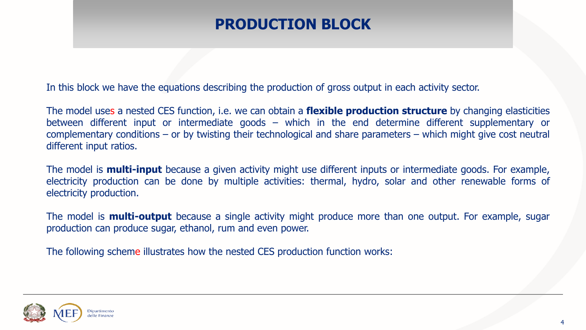# **PRODUCTION BLOCK**

In this block we have the equations describing the production of gross output in each activity sector.

The model uses a nested CES function, i.e. we can obtain a **flexible production structure** by changing elasticities between different input or intermediate goods – which in the end determine different supplementary or complementary conditions – or by twisting their technological and share parameters – which might give cost neutral different input ratios.

The model is **multi-input** because a given activity might use different inputs or intermediate goods. For example, electricity production can be done by multiple activities: thermal, hydro, solar and other renewable forms of electricity production.

The model is **multi-output** because a single activity might produce more than one output. For example, sugar production can produce sugar, ethanol, rum and even power.

The following scheme illustrates how the nested CES production function works:

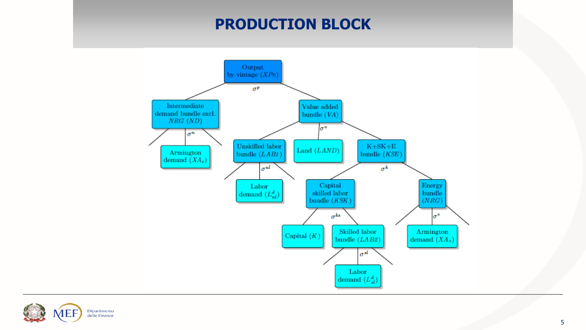#### **PRODUCTION BLOCK**



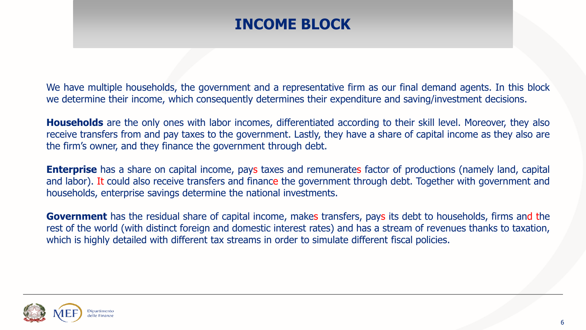## **INCOME BLOCK**

We have multiple households, the government and a representative firm as our final demand agents. In this block we determine their income, which consequently determines their expenditure and saving/investment decisions.

**Households** are the only ones with labor incomes, differentiated according to their skill level. Moreover, they also receive transfers from and pay taxes to the government. Lastly, they have a share of capital income as they also are the firm's owner, and they finance the government through debt.

**Enterprise** has a share on capital income, pays taxes and remunerates factor of productions (namely land, capital and labor). It could also receive transfers and finance the government through debt. Together with government and households, enterprise savings determine the national investments.

**Government** has the residual share of capital income, makes transfers, pays its debt to households, firms and the rest of the world (with distinct foreign and domestic interest rates) and has a stream of revenues thanks to taxation, which is highly detailed with different tax streams in order to simulate different fiscal policies.

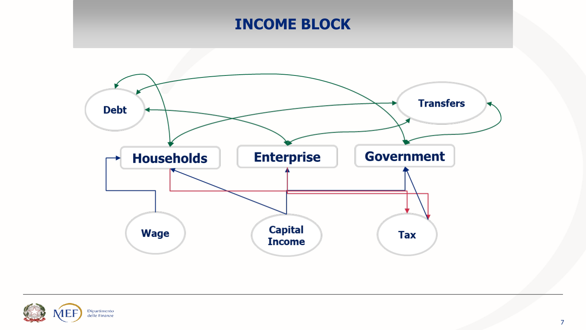# **INCOME BLOCK**



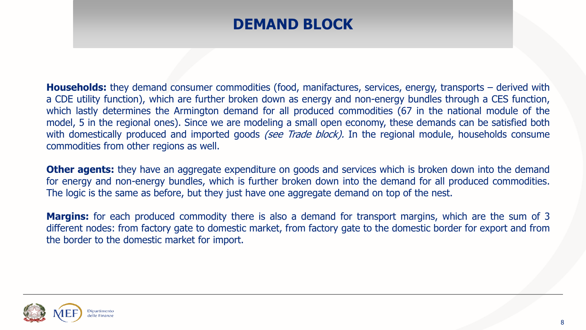## **DEMAND BLOCK**

**Households:** they demand consumer commodities (food, manifactures, services, energy, transports – derived with a CDE utility function), which are further broken down as energy and non-energy bundles through a CES function, which lastly determines the Armington demand for all produced commodities (67 in the national module of the model, 5 in the regional ones). Since we are modeling a small open economy, these demands can be satisfied both with domestically produced and imported goods (see Trade block). In the regional module, households consume commodities from other regions as well.

**Other agents:** they have an aggregate expenditure on goods and services which is broken down into the demand for energy and non-energy bundles, which is further broken down into the demand for all produced commodities. The logic is the same as before, but they just have one aggregate demand on top of the nest.

**Margins:** for each produced commodity there is also a demand for transport margins, which are the sum of 3 different nodes: from factory gate to domestic market, from factory gate to the domestic border for export and from the border to the domestic market for import.

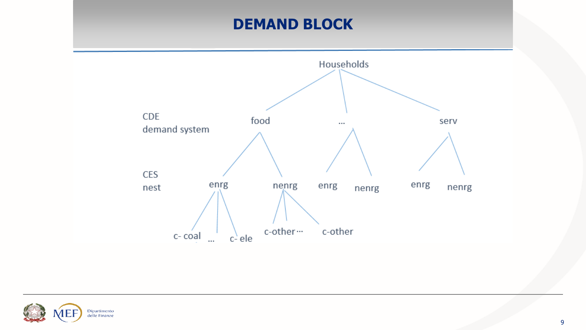# **DEMAND BLOCK**



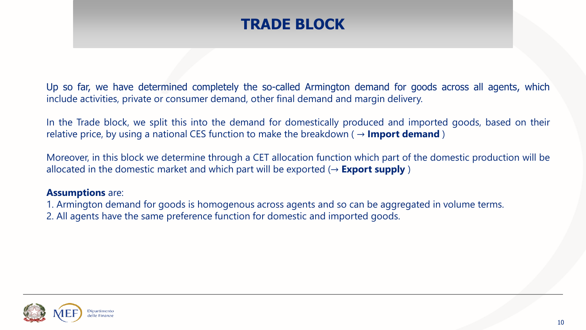#### **TRADE BLOCK**

Up so far, we have determined completely the so-called Armington demand for goods across all agents, which include activities, private or consumer demand, other final demand and margin delivery.

In the Trade block, we split this into the demand for domestically produced and imported goods, based on their relative price, by using a national CES function to make the breakdown ( $\rightarrow$  **Import demand**)

Moreover, in this block we determine through a CET allocation function which part of the domestic production will be allocated in the domestic market and which part will be exported  $(\rightarrow$  **Export supply**)

#### **Assumptions** are:

1. Armington demand for goods is homogenous across agents and so can be aggregated in volume terms. 2. All agents have the same preference function for domestic and imported goods.

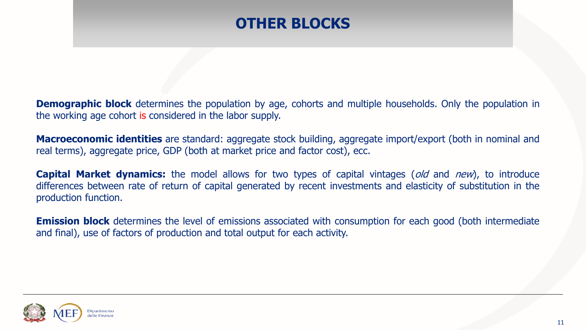#### **OTHER BLOCKS**

**Demographic block** determines the population by age, cohorts and multiple households. Only the population in the working age cohort is considered in the labor supply.

**Macroeconomic identities** are standard: aggregate stock building, aggregate import/export (both in nominal and real terms), aggregate price, GDP (both at market price and factor cost), ecc.

**Capital Market dynamics:** the model allows for two types of capital vintages (*old* and *new*), to introduce differences between rate of return of capital generated by recent investments and elasticity of substitution in the production function.

**Emission block** determines the level of emissions associated with consumption for each good (both intermediate and final), use of factors of production and total output for each activity.

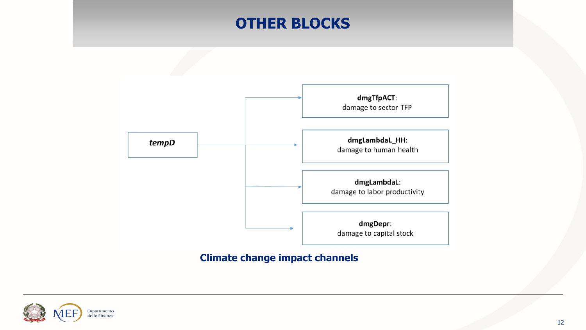#### **OTHER BLOCKS**



#### **Climate change impact channels**

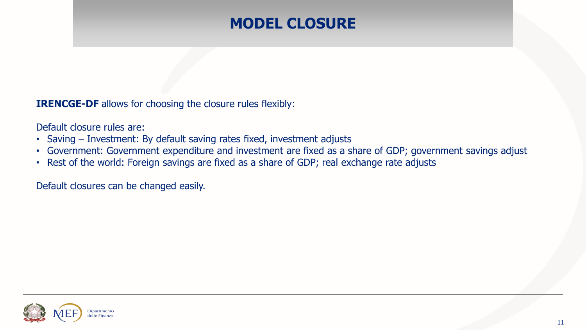# **MODEL CLOSURE**

**IRENCGE-DF** allows for choosing the closure rules flexibly:

Default closure rules are:

- Saving Investment: By default saving rates fixed, investment adjusts
- Government: Government expenditure and investment are fixed as a share of GDP; government savings adjust
- Rest of the world: Foreign savings are fixed as a share of GDP; real exchange rate adjusts

Default closures can be changed easily.